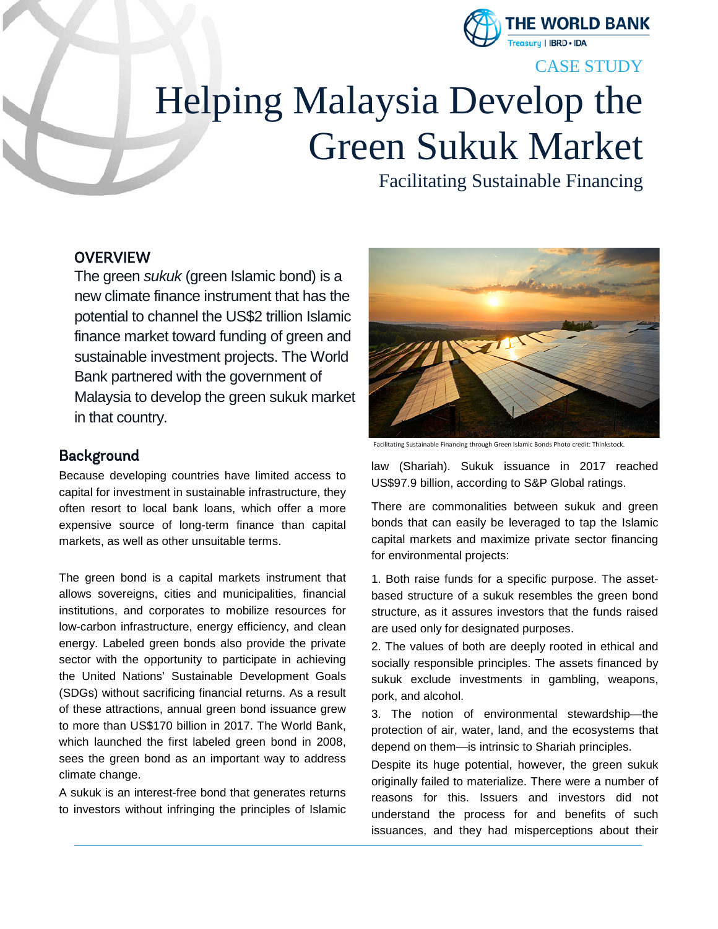

### CASE STUDY

# Helping Malaysia Develop the Green Sukuk Market

Facilitating Sustainable Financing

#### **OVERVIEW**

The green *sukuk* (green Islamic bond) is a new climate finance instrument that has the potential to channel the US\$2 trillion Islamic finance market toward funding of green and sustainable investment projects. The World Bank partnered with the government of Malaysia to develop the green sukuk market in that country.

#### Background

Because developing countries have limited access to capital for investment in sustainable infrastructure, they often resort to local bank loans, which offer a more expensive source of long-term finance than capital markets, as well as other unsuitable terms.

The green bond is a capital markets instrument that allows sovereigns, cities and municipalities, financial institutions, and corporates to mobilize resources for low-carbon infrastructure, energy efficiency, and clean energy. Labeled green bonds also provide the private sector with the opportunity to participate in achieving the United Nations' Sustainable Development Goals (SDGs) without sacrificing financial returns. As a result of these attractions, annual green bond issuance grew to more than US\$170 billion in 2017. The World Bank, which launched the first labeled green bond in 2008, sees the green bond as an important way to address climate change.

A sukuk is an interest-free bond that generates returns to investors without infringing the principles of Islamic



Facilitating Sustainable Financing through Green Islamic Bonds Photo credit: Thinkstock.

law (Shariah). Sukuk issuance in 2017 reached US\$97.9 billion, according to S&P Global ratings.

There are commonalities between sukuk and green bonds that can easily be leveraged to tap the Islamic capital markets and maximize private sector financing for environmental projects:

1. Both raise funds for a specific purpose. The assetbased structure of a sukuk resembles the green bond structure, as it assures investors that the funds raised are used only for designated purposes.

2. The values of both are deeply rooted in ethical and socially responsible principles. The assets financed by sukuk exclude investments in gambling, weapons, pork, and alcohol.

3. The notion of environmental stewardship—the protection of air, water, land, and the ecosystems that depend on them—is intrinsic to Shariah principles.

Despite its huge potential, however, the green sukuk originally failed to materialize. There were a number of reasons for this. Issuers and investors did not understand the process for and benefits of such issuances, and they had misperceptions about their